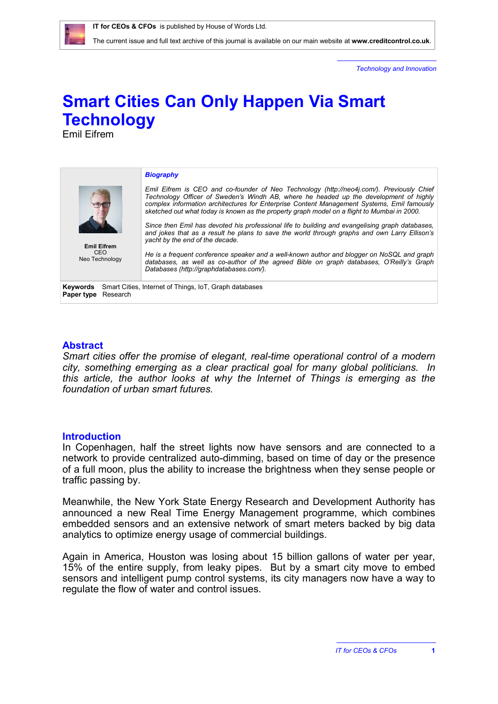The current issue and full text archive of this journal is available on our main website at **[www.creditcontrol.co.uk](http://www.creditcontrol.co.uk)**.

*Technology and Innovation*

## **Smart Cities Can Only Happen Via Smart Technology**

Emil Eifrem



## **Abstract**

*Smart cities offer the promise of elegant, real-time operational control of a modern city, something emerging as a clear practical goal for many global politicians. In this article, the author looks at why the Internet of Things is emerging as the foundation of urban smart futures.*

## **Introduction**

In Copenhagen, half the street lights now have sensors and are connected to a network to provide centralized auto-dimming, based on time of day or the presence of a full moon, plus the ability to increase the brightness when they sense people or traffic passing by.

Meanwhile, the New York State Energy Research and Development Authority has announced a new Real Time Energy Management programme, which combines embedded sensors and an extensive network of smart meters backed by big data analytics to optimize energy usage of commercial buildings.

Again in America, Houston was losing about 15 billion gallons of water per year, 15% of the entire supply, from leaky pipes. But by a smart city move to embed sensors and intelligent pump control systems, its city managers now have a way to regulate the flow of water and control issues.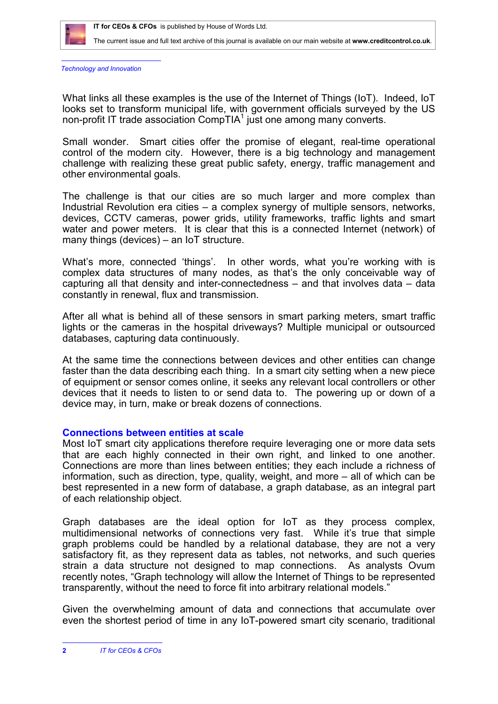

The current issue and full text archive of this journal is available on our main website at **[www.creditcontrol.co.uk](http://www.creditcontrol.co.uk)**.

*Technology and Innovation*

What links all these examples is the use of the Internet of Things (IoT). Indeed, IoT looks set to transform municipal life, with government officials surveyed by the US non-profit IT trade association CompTIA $<sup>1</sup>$  just one among many converts.</sup>

Small wonder. Smart cities offer the promise of elegant, real-time operational control of the modern city. However, there is a big technology and management challenge with realizing these great public safety, energy, traffic management and other environmental goals.

The challenge is that our cities are so much larger and more complex than Industrial Revolution era cities – a complex synergy of multiple sensors, networks, devices, CCTV cameras, power grids, utility frameworks, traffic lights and smart water and power meters. It is clear that this is a connected Internet (network) of many things (devices) – an IoT structure.

What's more, connected 'things'. In other words, what you're working with is complex data structures of many nodes, as that's the only conceivable way of capturing all that density and inter-connectedness – and that involves data – data constantly in renewal, flux and transmission.

After all what is behind all of these sensors in smart parking meters, smart traffic lights or the cameras in the hospital driveways? Multiple municipal or outsourced databases, capturing data continuously.

At the same time the connections between devices and other entities can change faster than the data describing each thing. In a smart city setting when a new piece of equipment or sensor comes online, it seeks any relevant local controllers or other devices that it needs to listen to or send data to. The powering up or down of a device may, in turn, make or break dozens of connections.

## **Connections between entities at scale**

Most IoT smart city applications therefore require leveraging one or more data sets that are each highly connected in their own right, and linked to one another. Connections are more than lines between entities; they each include a richness of information, such as direction, type, quality, weight, and more – all of which can be best represented in a new form of database, a graph database, as an integral part of each relationship object.

Graph databases are the ideal option for IoT as they process complex, multidimensional networks of connections very fast. While it's true that simple graph problems could be handled by a relational database, they are not a very satisfactory fit, as they represent data as tables, not networks, and such queries strain a data structure not designed to map connections. As analysts Ovum recently notes, "Graph technology will allow the Internet of Things to be represented transparently, without the need to force fit into arbitrary relational models."

Given the overwhelming amount of data and connections that accumulate over even the shortest period of time in any IoT-powered smart city scenario, traditional